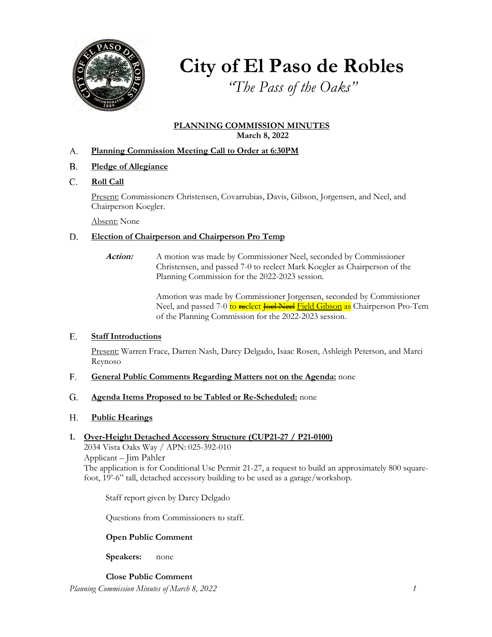

## **City of El Paso de Robles**

*"The Pass of the Oaks"*

## **PLANNING COMMISSION MINUTES March 8, 2022**

#### **Planning Commission Meeting Call to Order at 6:30PM** A.

- **Pledge of Allegiance** B.
- **Roll Call** C.

Present: Commissioners Christensen, Covarrubias, Davis, Gibson, Jorgensen, and Neel, and Chairperson Koegler.

Absent: None

#### **Election of Chairperson and Chairperson Pro Temp** D.

Action: A motion was made by Commissioner Neel, seconded by Commissioner Christensen, and passed 7-0 to reelect Mark Koegler as Chairperson of the Planning Commission for the 2022-2023 session.

> Amotion was made by Commissioner Jorgensen, seconded by Commissioner Neel, and passed 7-0 to reelect Joel Neel Field Gibson as Chairperson Pro-Tem of the Planning Commission for the 2022-2023 session.

#### **Staff Introductions** E.

Present: Warren Frace, Darren Nash, Darcy Delgado, Isaac Rosen, Ashleigh Peterson, and Marci Reynoso

#### **General Public Comments Regarding Matters not on the Agenda:** none F.

#### **Agenda Items Proposed to be Tabled or Re-Scheduled:** none G.

#### **Public Hearings** H.

## **1. Over-Height Detached Accessory Structure (CUP21-27 / P21-0100)**

2034 Vista Oaks Way / APN: 025-392-010 Applicant – Jim Pahler The application is for Conditional Use Permit 21-27, a request to build an approximately 800 squarefoot, 19'-6" tall, detached accessory building to be used as a garage/workshop.

Staff report given by Darcy Delgado

Questions from Commissioners to staff.

## **Open Public Comment**

**Speakers:** none

*Planning Commission Minutes of March 8, 2022 1* **Close Public Comment**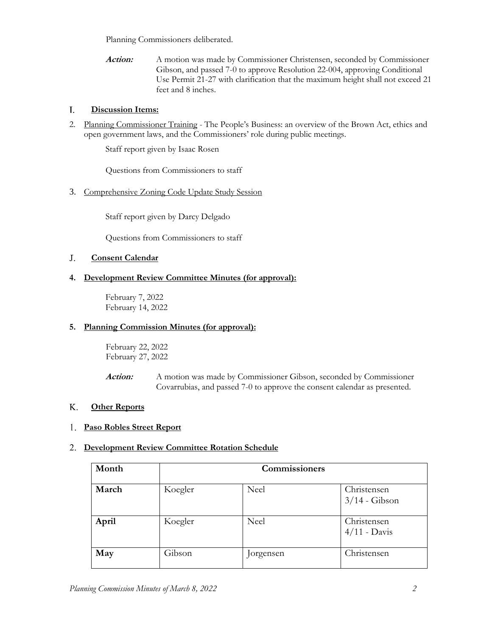Planning Commissioners deliberated.

**Action:** A motion was made by Commissioner Christensen, seconded by Commissioner Gibson, and passed 7-0 to approve Resolution 22-004, approving Conditional Use Permit 21-27 with clarification that the maximum height shall not exceed 21 feet and 8 inches.

#### **Discussion Items:** I.

2. Planning Commissioner Training - The People's Business: an overview of the Brown Act, ethics and open government laws, and the Commissioners' role during public meetings.

Staff report given by Isaac Rosen

Questions from Commissioners to staff

## 3. Comprehensive Zoning Code Update Study Session

Staff report given by Darcy Delgado

Questions from Commissioners to staff

#### **Consent Calendar** J.

## **4. Development Review Committee Minutes (for approval):**

February 7, 2022 February 14, 2022

## **5. Planning Commission Minutes (for approval):**

February 22, 2022 February 27, 2022

**Action:** A motion was made by Commissioner Gibson, seconded by Commissioner Covarrubias, and passed 7-0 to approve the consent calendar as presented.

#### **Other Reports** K.

## **Paso Robles Street Report** 1.

## **Development Review Committee Rotation Schedule** 2.

| Month | Commissioners |             |                                |
|-------|---------------|-------------|--------------------------------|
| March | Koegler       | <b>Neel</b> | Christensen<br>$3/14$ - Gibson |
| April | Koegler       | <b>Neel</b> | Christensen<br>$4/11$ - Davis  |
| May   | Gibson        | Jorgensen   | Christensen                    |